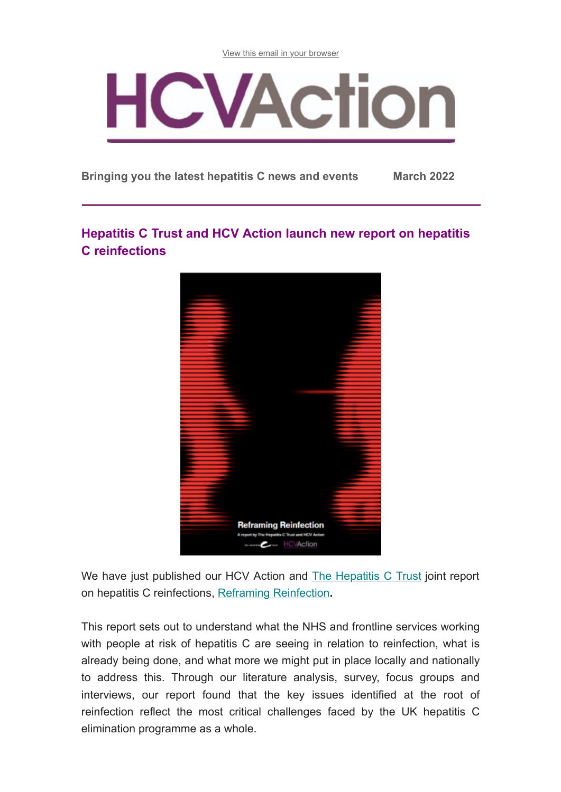[View this email in your browser](https://us12.campaign-archive.com/?e=[UNIQID]&u=b3061589d4a2e4790a1667a40&id=1fba2d492e)



**Bringing you the latest hepatitis C news and events March 2022**

# **Hepatitis C Trust and HCV Action launch new report on hepatitis C reinfections**



We have just published our HCV Action and [The Hepatitis C Trust](http://hepctrust.org.uk/) joint report on hepatitis C reinfections, [Reframing Reinfection](http://www.hepctrust.org.uk/sites/default/files/Reframing%20Reinfection.pdf)**.**

This report sets out to understand what the NHS and frontline services working with people at risk of hepatitis C are seeing in relation to reinfection, what is already being done, and what more we might put in place locally and nationally to address this. Through our literature analysis, survey, focus groups and interviews, our report found that the key issues identified at the root of reinfection reflect the most critical challenges faced by the UK hepatitis C elimination programme as a whole.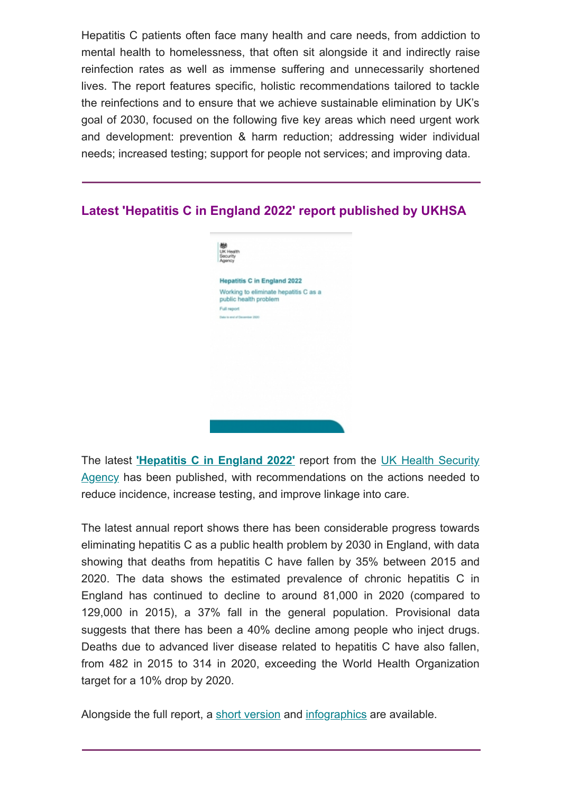Hepatitis C patients often face many health and care needs, from addiction to mental health to homelessness, that often sit alongside it and indirectly raise reinfection rates as well as immense suffering and unnecessarily shortened lives. The report features specific, holistic recommendations tailored to tackle the reinfections and to ensure that we achieve sustainable elimination by UK's goal of 2030, focused on the following five key areas which need urgent work and development: prevention & harm reduction; addressing wider individual needs; increased testing; support for people not services; and improving data.

### **Latest 'Hepatitis C in England 2022' report published by UKHSA**



The latest **['Hepatitis C in England 2022'](http://www.hcvaction.org.uk/sites/default/files/resources/Hepatitis%20C%20in%20England%202022%20full%20report.pdf)** report from the UK Health Security Agency [has been published, with recommendations on the actions needed to](https://www.gov.uk/government/organisations/uk-health-security-agency) reduce incidence, increase testing, and improve linkage into care.

The latest annual report shows there has been considerable progress towards eliminating hepatitis C as a public health problem by 2030 in England, with data showing that deaths from hepatitis C have fallen by 35% between 2015 and 2020. The data shows the estimated prevalence of chronic hepatitis C in England has continued to decline to around 81,000 in 2020 (compared to 129,000 in 2015), a 37% fall in the general population. Provisional data suggests that there has been a 40% decline among people who inject drugs. Deaths due to advanced liver disease related to hepatitis C have also fallen, from 482 in 2015 to 314 in 2020, exceeding the World Health Organization target for a 10% drop by 2020.

Alongside the full report, a [short version](http://www.hcvaction.org.uk/sites/default/files/resources/Hepatitis%20C%20in%20England%202022%20short%20report.pdf) and [infographics](http://www.hcvaction.org.uk/sites/default/files/resources/Hepatitis%20C%20in%20England%202022%20infographics.pdf) are available.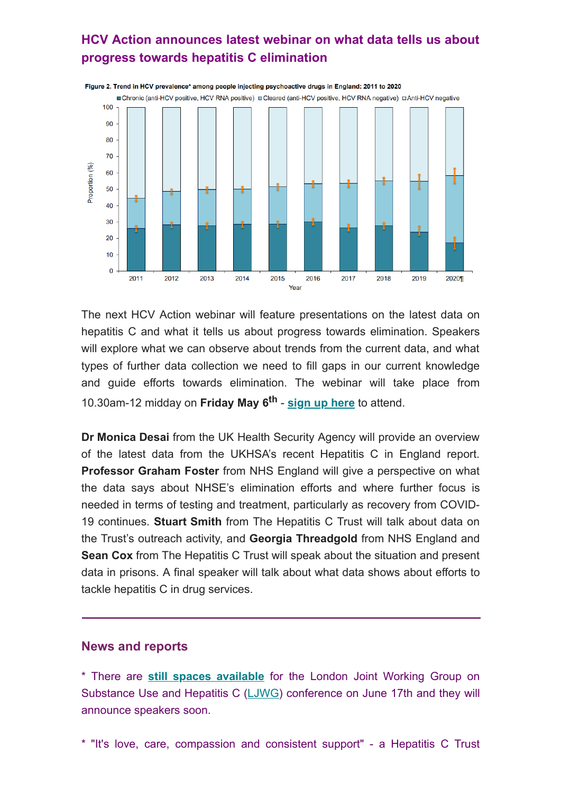## **HCV Action announces latest webinar on what data tells us about progress towards hepatitis C elimination**



The next HCV Action webinar will feature presentations on the latest data on hepatitis C and what it tells us about progress towards elimination. Speakers will explore what we can observe about trends from the current data, and what types of further data collection we need to fill gaps in our current knowledge and guide efforts towards elimination. The webinar will take place from 10.30am-12 midday on **Friday May 6th** - **[sign up here](https://us02web.zoom.us/webinar/register/WN_exVRuV7uTuy1wOhiH1XS3g)** to attend.

**Dr Monica Desai** from the UK Health Security Agency will provide an overview of the latest data from the UKHSA's recent Hepatitis C in England report. **Professor Graham Foster** from NHS England will give a perspective on what the data says about NHSE's elimination efforts and where further focus is needed in terms of testing and treatment, particularly as recovery from COVID-19 continues. **Stuart Smith** from The Hepatitis C Trust will talk about data on the Trust's outreach activity, and **Georgia Threadgold** from NHS England and **Sean Cox** from The Hepatitis C Trust will speak about the situation and present data in prisons. A final speaker will talk about what data shows about efforts to tackle hepatitis C in drug services.

#### **News and reports**

\* There are **[still spaces available](https://www.eventbrite.co.uk/e/the-ljwg-conference-2022-3-years-to-go-to-elimination-tickets-227539947107)** for the London Joint Working Group on Substance Use and Hepatitis C ([LJWG](http://ljwg.org.uk/)) conference on June 17th and they will announce speakers soon.

\* "It's love, care, compassion and consistent support" - a Hepatitis C Trust